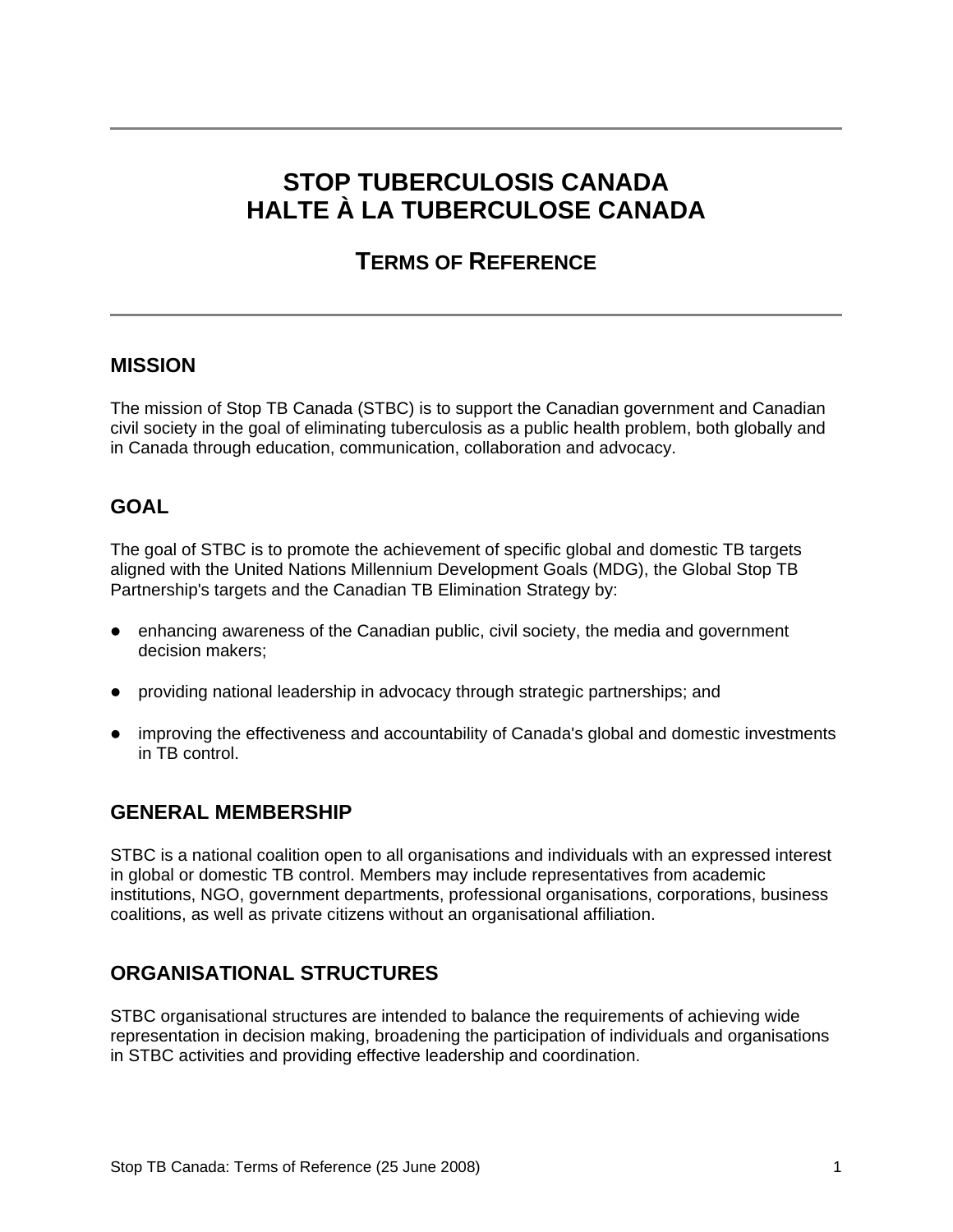# **STOP TUBERCULOSIS CANADA HALTE À LA TUBERCULOSE CANADA**

## **TERMS OF REFERENCE**

## **MISSION**

The mission of Stop TB Canada (STBC) is to support the Canadian government and Canadian civil society in the goal of eliminating tuberculosis as a public health problem, both globally and in Canada through education, communication, collaboration and advocacy.

## **GOAL**

The goal of STBC is to promote the achievement of specific global and domestic TB targets aligned with the United Nations Millennium Development Goals (MDG), the Global Stop TB Partnership's targets and the Canadian TB Elimination Strategy by:

- $\bullet$  enhancing awareness of the Canadian public, civil society, the media and government decision makers;
- providing national leadership in advocacy through strategic partnerships; and
- improving the effectiveness and accountability of Canada's global and domestic investments in TB control.

### **GENERAL MEMBERSHIP**

STBC is a national coalition open to all organisations and individuals with an expressed interest in global or domestic TB control. Members may include representatives from academic institutions, NGO, government departments, professional organisations, corporations, business coalitions, as well as private citizens without an organisational affiliation.

## **ORGANISATIONAL STRUCTURES**

STBC organisational structures are intended to balance the requirements of achieving wide representation in decision making, broadening the participation of individuals and organisations in STBC activities and providing effective leadership and coordination.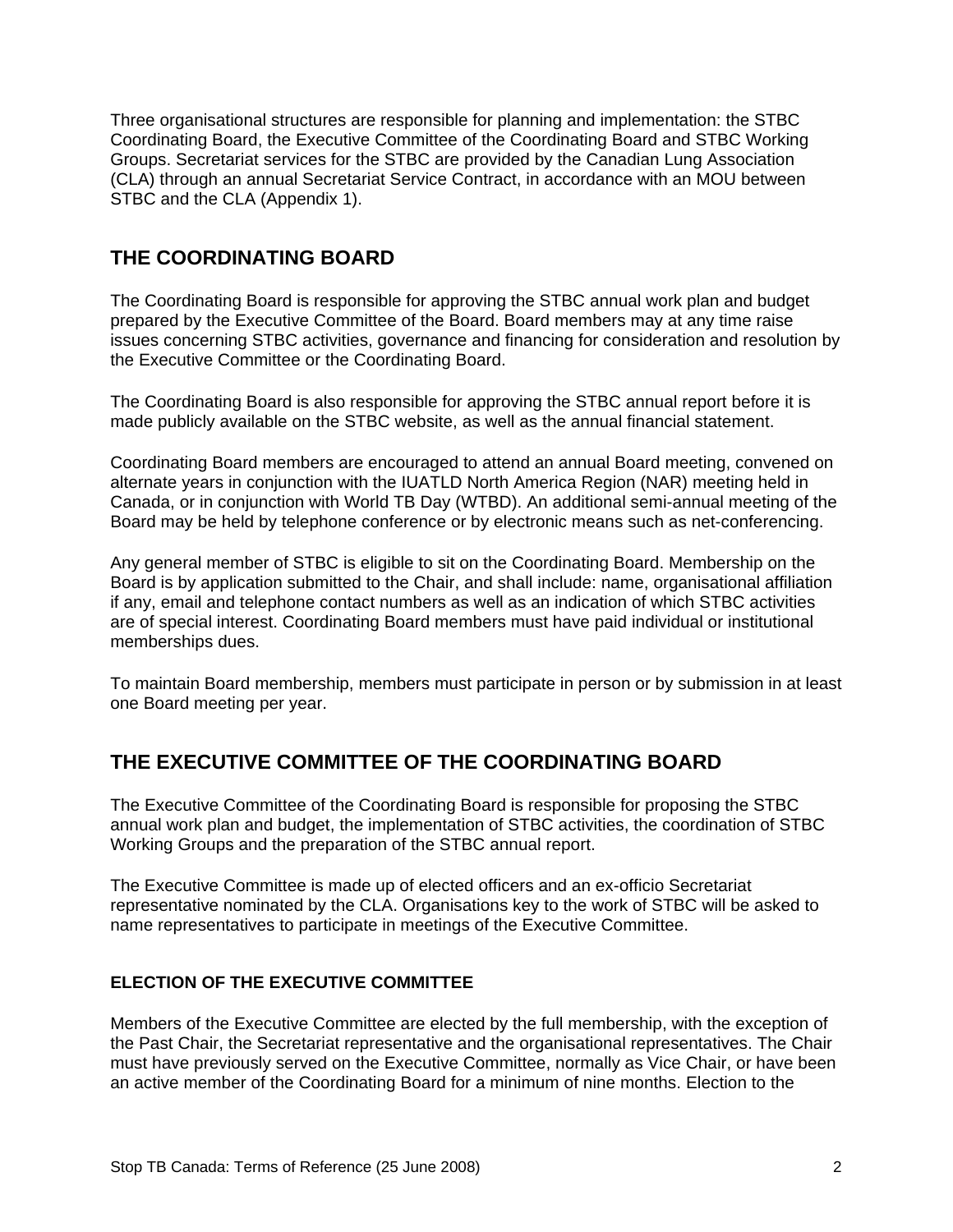Three organisational structures are responsible for planning and implementation: the STBC Coordinating Board, the Executive Committee of the Coordinating Board and STBC Working Groups. Secretariat services for the STBC are provided by the Canadian Lung Association (CLA) through an annual Secretariat Service Contract, in accordance with an MOU between STBC and the CLA (Appendix 1).

## **THE COORDINATING BOARD**

The Coordinating Board is responsible for approving the STBC annual work plan and budget prepared by the Executive Committee of the Board. Board members may at any time raise issues concerning STBC activities, governance and financing for consideration and resolution by the Executive Committee or the Coordinating Board.

The Coordinating Board is also responsible for approving the STBC annual report before it is made publicly available on the STBC website, as well as the annual financial statement.

Coordinating Board members are encouraged to attend an annual Board meeting, convened on alternate years in conjunction with the IUATLD North America Region (NAR) meeting held in Canada, or in conjunction with World TB Day (WTBD). An additional semi-annual meeting of the Board may be held by telephone conference or by electronic means such as net-conferencing.

Any general member of STBC is eligible to sit on the Coordinating Board. Membership on the Board is by application submitted to the Chair, and shall include: name, organisational affiliation if any, email and telephone contact numbers as well as an indication of which STBC activities are of special interest. Coordinating Board members must have paid individual or institutional memberships dues.

To maintain Board membership, members must participate in person or by submission in at least one Board meeting per year.

## **THE EXECUTIVE COMMITTEE OF THE COORDINATING BOARD**

The Executive Committee of the Coordinating Board is responsible for proposing the STBC annual work plan and budget, the implementation of STBC activities, the coordination of STBC Working Groups and the preparation of the STBC annual report.

The Executive Committee is made up of elected officers and an ex-officio Secretariat representative nominated by the CLA. Organisations key to the work of STBC will be asked to name representatives to participate in meetings of the Executive Committee.

#### **ELECTION OF THE EXECUTIVE COMMITTEE**

Members of the Executive Committee are elected by the full membership, with the exception of the Past Chair, the Secretariat representative and the organisational representatives. The Chair must have previously served on the Executive Committee, normally as Vice Chair, or have been an active member of the Coordinating Board for a minimum of nine months. Election to the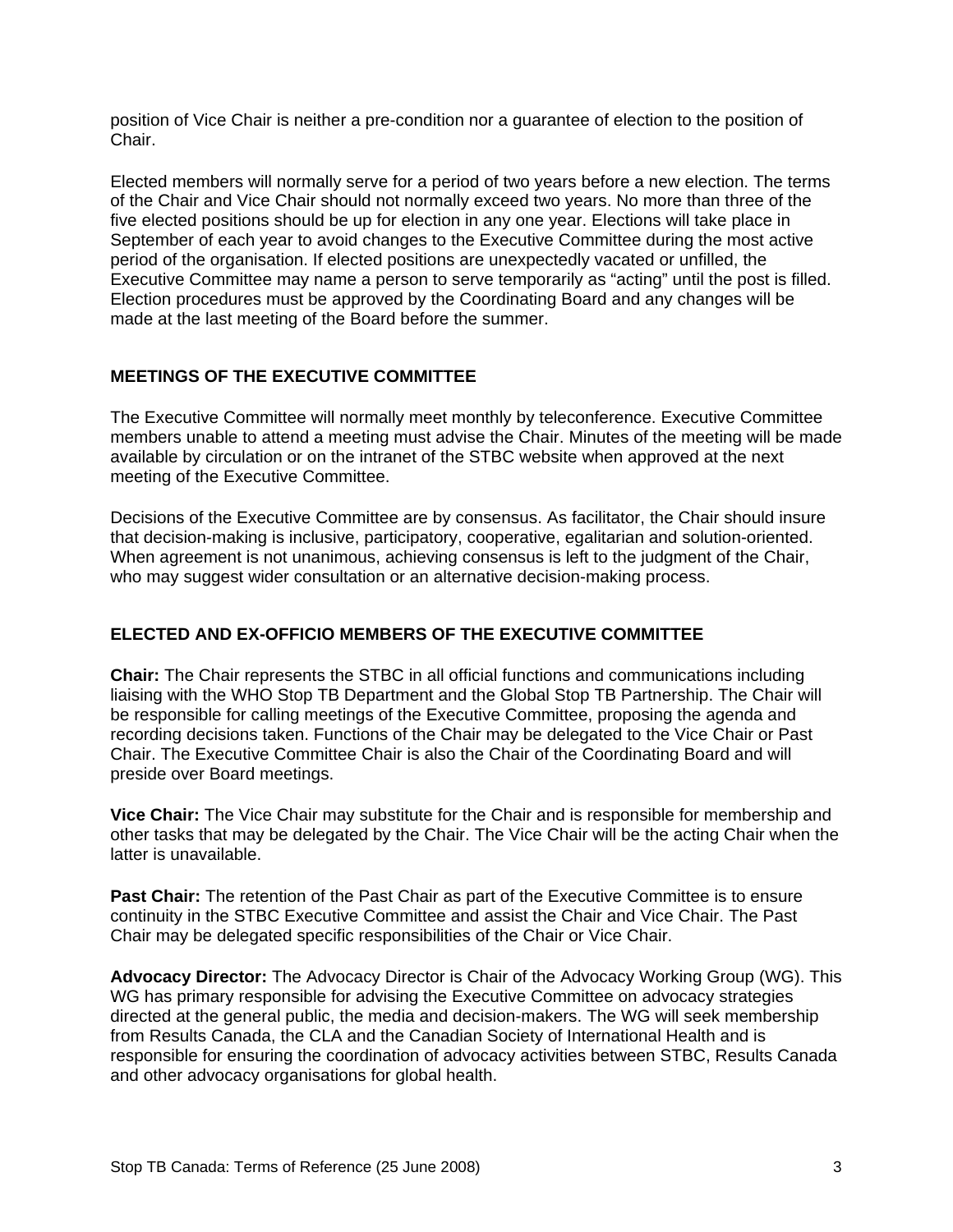position of Vice Chair is neither a pre-condition nor a guarantee of election to the position of Chair.

Elected members will normally serve for a period of two years before a new election. The terms of the Chair and Vice Chair should not normally exceed two years. No more than three of the five elected positions should be up for election in any one year. Elections will take place in September of each year to avoid changes to the Executive Committee during the most active period of the organisation. If elected positions are unexpectedly vacated or unfilled, the Executive Committee may name a person to serve temporarily as "acting" until the post is filled. Election procedures must be approved by the Coordinating Board and any changes will be made at the last meeting of the Board before the summer.

#### **MEETINGS OF THE EXECUTIVE COMMITTEE**

The Executive Committee will normally meet monthly by teleconference. Executive Committee members unable to attend a meeting must advise the Chair. Minutes of the meeting will be made available by circulation or on the intranet of the STBC website when approved at the next meeting of the Executive Committee.

Decisions of the Executive Committee are by consensus. As facilitator, the Chair should insure that decision-making is inclusive, participatory, cooperative, egalitarian and solution-oriented. When agreement is not unanimous, achieving consensus is left to the judgment of the Chair, who may suggest wider consultation or an alternative decision-making process.

#### **ELECTED AND EX-OFFICIO MEMBERS OF THE EXECUTIVE COMMITTEE**

**Chair:** The Chair represents the STBC in all official functions and communications including liaising with the WHO Stop TB Department and the Global Stop TB Partnership. The Chair will be responsible for calling meetings of the Executive Committee, proposing the agenda and recording decisions taken. Functions of the Chair may be delegated to the Vice Chair or Past Chair. The Executive Committee Chair is also the Chair of the Coordinating Board and will preside over Board meetings.

**Vice Chair:** The Vice Chair may substitute for the Chair and is responsible for membership and other tasks that may be delegated by the Chair. The Vice Chair will be the acting Chair when the latter is unavailable.

**Past Chair:** The retention of the Past Chair as part of the Executive Committee is to ensure continuity in the STBC Executive Committee and assist the Chair and Vice Chair. The Past Chair may be delegated specific responsibilities of the Chair or Vice Chair.

**Advocacy Director:** The Advocacy Director is Chair of the Advocacy Working Group (WG). This WG has primary responsible for advising the Executive Committee on advocacy strategies directed at the general public, the media and decision-makers. The WG will seek membership from Results Canada, the CLA and the Canadian Society of International Health and is responsible for ensuring the coordination of advocacy activities between STBC, Results Canada and other advocacy organisations for global health.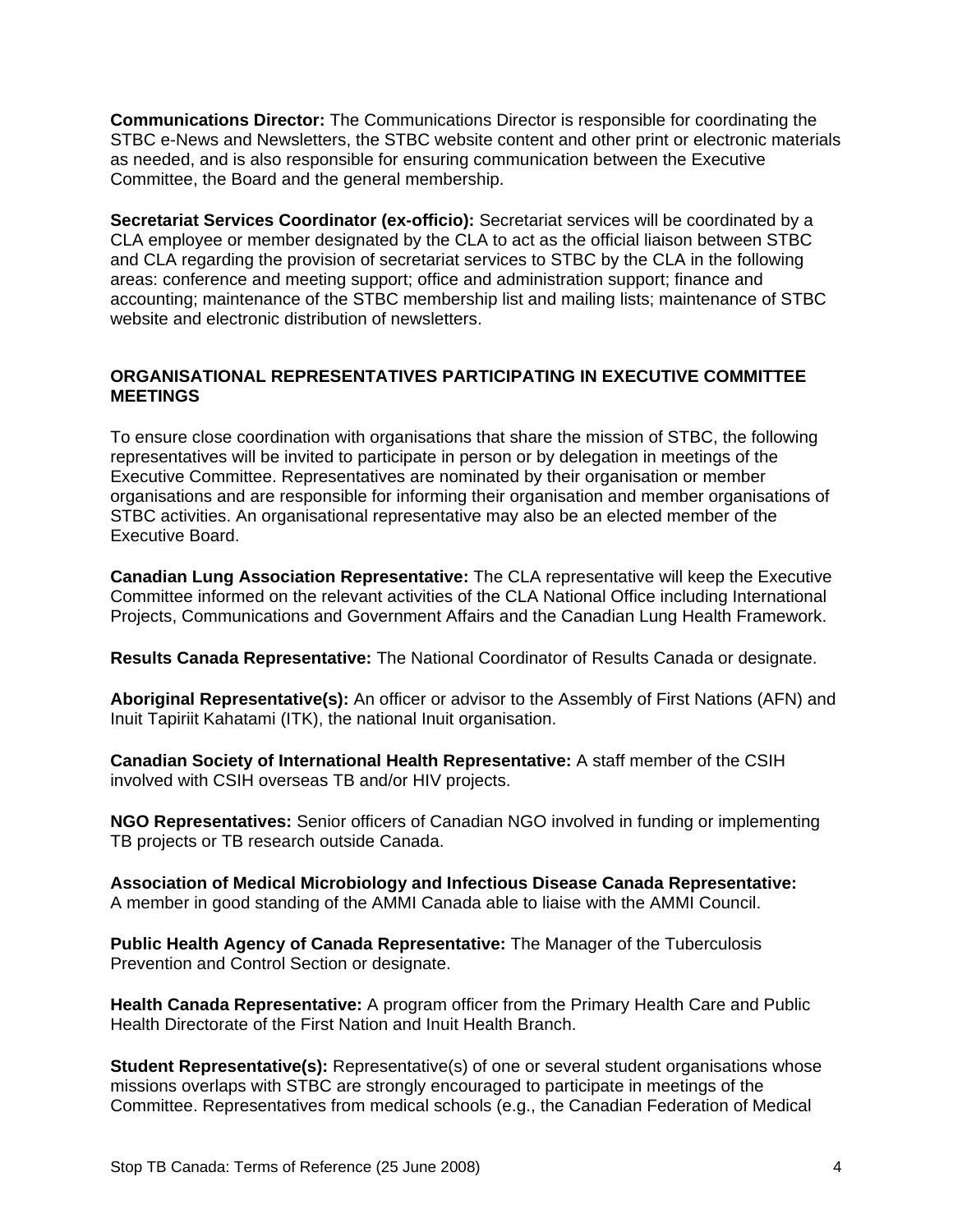**Communications Director:** The Communications Director is responsible for coordinating the STBC e-News and Newsletters, the STBC website content and other print or electronic materials as needed, and is also responsible for ensuring communication between the Executive Committee, the Board and the general membership.

**Secretariat Services Coordinator (ex-officio):** Secretariat services will be coordinated by a CLA employee or member designated by the CLA to act as the official liaison between STBC and CLA regarding the provision of secretariat services to STBC by the CLA in the following areas: conference and meeting support; office and administration support; finance and accounting; maintenance of the STBC membership list and mailing lists; maintenance of STBC website and electronic distribution of newsletters.

#### **ORGANISATIONAL REPRESENTATIVES PARTICIPATING IN EXECUTIVE COMMITTEE MEETINGS**

To ensure close coordination with organisations that share the mission of STBC, the following representatives will be invited to participate in person or by delegation in meetings of the Executive Committee. Representatives are nominated by their organisation or member organisations and are responsible for informing their organisation and member organisations of STBC activities. An organisational representative may also be an elected member of the Executive Board.

**Canadian Lung Association Representative:** The CLA representative will keep the Executive Committee informed on the relevant activities of the CLA National Office including International Projects, Communications and Government Affairs and the Canadian Lung Health Framework.

**Results Canada Representative:** The National Coordinator of Results Canada or designate.

**Aboriginal Representative(s):** An officer or advisor to the Assembly of First Nations (AFN) and Inuit Tapiriit Kahatami (ITK), the national Inuit organisation.

**Canadian Society of International Health Representative:** A staff member of the CSIH involved with CSIH overseas TB and/or HIV projects.

**NGO Representatives:** Senior officers of Canadian NGO involved in funding or implementing TB projects or TB research outside Canada.

**Association of Medical Microbiology and Infectious Disease Canada Representative:**  A member in good standing of the AMMI Canada able to liaise with the AMMI Council.

**Public Health Agency of Canada Representative:** The Manager of the Tuberculosis Prevention and Control Section or designate.

**Health Canada Representative:** A program officer from the Primary Health Care and Public Health Directorate of the First Nation and Inuit Health Branch.

**Student Representative(s):** Representative(s) of one or several student organisations whose missions overlaps with STBC are strongly encouraged to participate in meetings of the Committee. Representatives from medical schools (e.g., the Canadian Federation of Medical